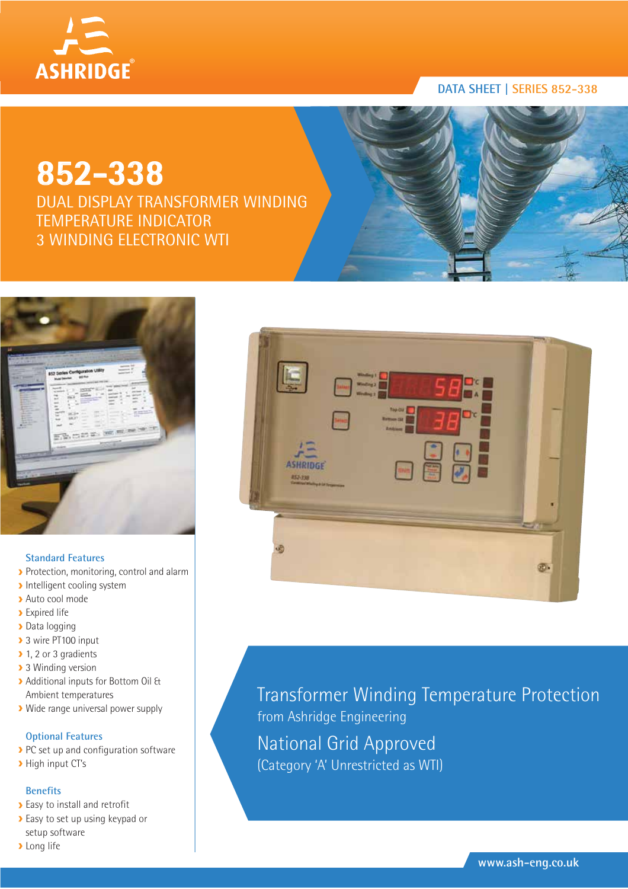

# **DATA SHEET | SERIES 852-338**

# **852-338**

DUAL DISPLAY TRANSFORMER WINDING TEMPERATURE INDICATOR 3 WINDING ELECTRONIC WTI



### **Standard Features**

- Protection, monitoring, control and alarm
- **Intelligent cooling system**
- Auto cool mode
- **>** Expired life
- > Data logging
- > 3 wire PT100 input
- ▶ 1, 2 or 3 gradients
- **3** Winding version
- Additional inputs for Bottom Oil & Ambient temperatures
- Wide range universal power supply

# **Optional Features**

- PC set up and configuration software
- > High input CT's

### **Benefits**

- **Easy to install and retrofit**
- Easy to set up using keypad or setup software
- **>** Long life



Transformer Winding Temperature Protection from Ashridge Engineering National Grid Approved (Category 'A' Unrestricted as WTI)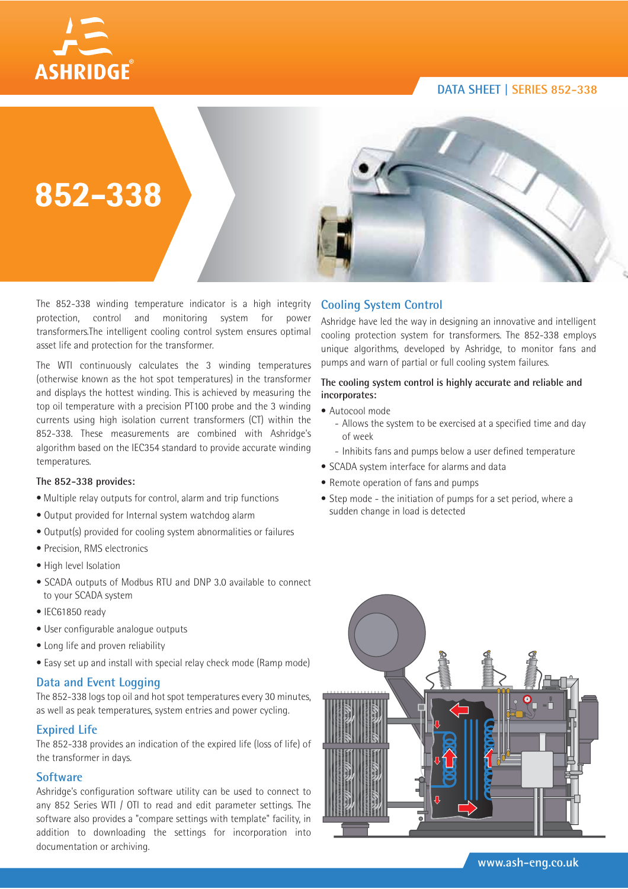## **DATA SHEET | SERIES 852-338**





The 852-338 winding temperature indicator is a high integrity protection, control and monitoring system for power transformers.The intelligent cooling control system ensures optimal asset life and protection for the transformer.

The WTI continuously calculates the 3 winding temperatures (otherwise known as the hot spot temperatures) in the transformer and displays the hottest winding. This is achieved by measuring the top oil temperature with a precision PT100 probe and the 3 winding currents using high isolation current transformers (CT) within the 852-338. These measurements are combined with Ashridge's algorithm based on the IEC354 standard to provide accurate winding temperatures.

#### **The 852-338 provides:**

- Multiple relay outputs for control, alarm and trip functions
- Output provided for Internal system watchdog alarm
- Output(s) provided for cooling system abnormalities or failures
- Precision, RMS electronics
- High level Isolation
- SCADA outputs of Modbus RTU and DNP 3.0 available to connect to your SCADA system
- IEC61850 ready
- User configurable analogue outputs
- Long life and proven reliability
- Easy set up and install with special relay check mode (Ramp mode)

#### **Data and Event Logging**

The 852-338 logs top oil and hot spot temperatures every 30 minutes, as well as peak temperatures, system entries and power cycling.

### **Expired Life**

The 852-338 provides an indication of the expired life (loss of life) of the transformer in days.

### **Software**

Ashridge's configuration software utility can be used to connect to any 852 Series WTI / OTI to read and edit parameter settings. The software also provides a "compare settings with template" facility, in addition to downloading the settings for incorporation into documentation or archiving.

# **Cooling System Control**

Ashridge have led the way in designing an innovative and intelligent cooling protection system for transformers. The 852-338 employs unique algorithms, developed by Ashridge, to monitor fans and pumps and warn of partial or full cooling system failures.

#### **The cooling system control is highly accurate and reliable and incorporates:**

- Autocool mode
	- Allows the system to be exercised at a specified time and day of week
	- Inhibits fans and pumps below a user defined temperature
- SCADA system interface for alarms and data
- Remote operation of fans and pumps
- Step mode the initiation of pumps for a set period, where a sudden change in load is detected

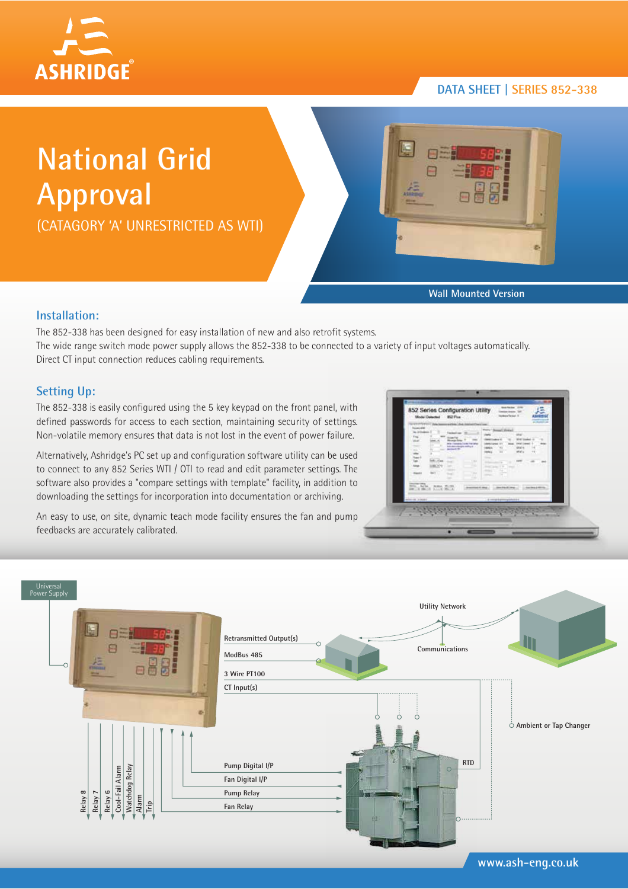

# **DATA SHEET | SERIES 852-338**

# **National Grid Approval**

(CATAGORY 'A' UNRESTRICTED AS WTI)



**Wall Mounted Version**

## **Installation:**

The 852-338 has been designed for easy installation of new and also retrofit systems. The wide range switch mode power supply allows the 852-338 to be connected to a variety of input voltages automatically. Direct CT input connection reduces cabling requirements.

# **Setting Up:**

The 852-338 is easily configured using the 5 key keypad on the front panel, with defined passwords for access to each section, maintaining security of settings. Non-volatile memory ensures that data is not lost in the event of power failure.

Alternatively, Ashridge's PC set up and configuration software utility can be used to connect to any 852 Series WTI / OTI to read and edit parameter settings. The software also provides a "compare settings with template" facility, in addition to downloading the settings for incorporation into documentation or archiving.

An easy to use, on site, dynamic teach mode facility ensures the fan and pump feedbacks are accurately calibrated.

| to id but<br><b><i><u>Industrial</u></i></b><br>m.<br><b><i><u>Distance</u></i> Page</b><br><b>Number Prints</b><br><b>Ab</b><br><b>Moderate Str.</b><br>$\sim$<br><b>Hard</b><br>- | anta (Tampito) com l'un pho-<br>Solo del ministro del Solo<br><b>STATISTICS</b><br><b>T. ALL</b><br>-<br><b>DISCARD TO</b><br>$-1$<br>$-10.1$<br><b>CONTRACT</b><br>× | orus.<br>With license in<br>mais.<br>.,                 | - 1                     |  |
|-------------------------------------------------------------------------------------------------------------------------------------------------------------------------------------|-----------------------------------------------------------------------------------------------------------------------------------------------------------------------|---------------------------------------------------------|-------------------------|--|
| <b>WORKS COLESN</b><br>almost acause                                                                                                                                                | <b>CONTRACTOR</b><br><b><i><u>Superintend</u> In Links</i></b>                                                                                                        | L. Glass Standings<br>The complete process and the com- | The Contract March 1997 |  |